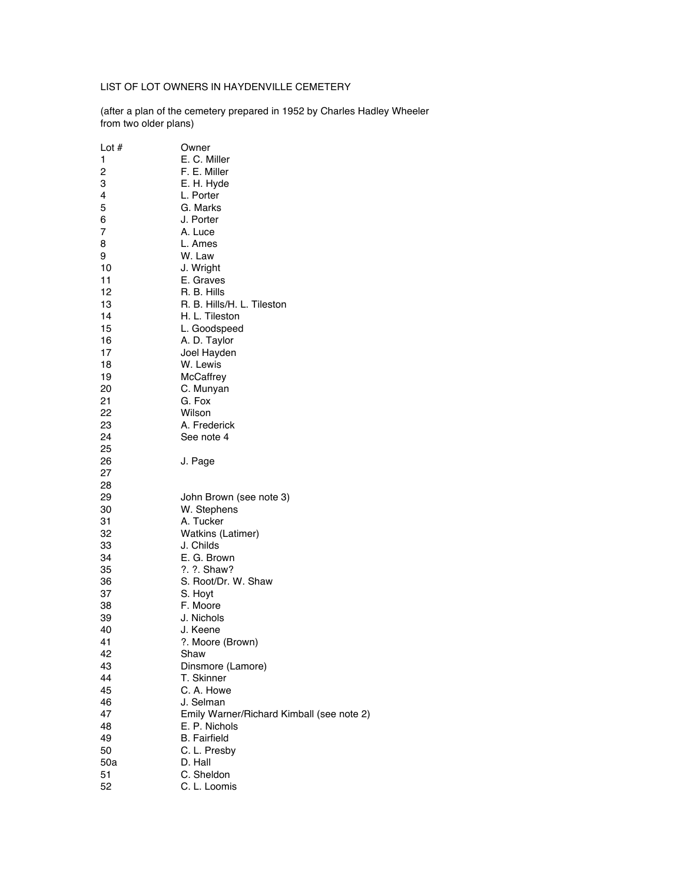## LIST OF LOT OWNERS IN HAYDENVILLE CEMETERY

(after a plan of the cemetery prepared in 1952 by Charles Hadley Wheeler from two older plans)

| Lot $#$ | Owner                                     |
|---------|-------------------------------------------|
| 1       | E. C. Miller                              |
| 2       | F. E. Miller                              |
| 3       | E. H. Hyde                                |
| 4       | L. Porter                                 |
| 5       | G. Marks                                  |
| 6       | J. Porter                                 |
| 7       | A. Luce                                   |
| 8       | L. Ames                                   |
| 9       | W. Law                                    |
| 10      | J. Wright                                 |
| 11      | E. Graves                                 |
| 12      | R. B. Hills                               |
| 13      | R. B. Hills/H. L. Tileston                |
| 14      | H. L. Tileston                            |
| 15      | L. Goodspeed                              |
| 16      | A. D. Taylor                              |
| 17      | Joel Hayden                               |
| 18      | W. Lewis                                  |
| 19      | McCaffrey                                 |
| 20      | C. Munyan                                 |
| 21      | G. Fox                                    |
| 22      | Wilson                                    |
| 23      | A. Frederick                              |
| 24      | See note 4                                |
| 25      |                                           |
| 26      | J. Page                                   |
| 27      |                                           |
| 28      |                                           |
| 29      | John Brown (see note 3)                   |
| 30      | W. Stephens                               |
| 31      | A. Tucker                                 |
| 32      | Watkins (Latimer)                         |
| 33      | J. Childs                                 |
| 34      | E. G. Brown                               |
| 35      | ?. ?. Shaw?                               |
| 36      | S. Root/Dr. W. Shaw                       |
| 37      | S. Hoyt                                   |
| 38      | F. Moore                                  |
| 39      | J. Nichols                                |
| 40      | J. Keene                                  |
| 41      | ?. Moore (Brown)                          |
| 42      | Shaw                                      |
| 43      | Dinsmore (Lamore)                         |
| 44      | T. Skinner                                |
| 45      | C. A. Howe                                |
| 46      | J. Selman                                 |
| 47      | Emily Warner/Richard Kimball (see note 2) |
| 48      | E. P. Nichols                             |
| 49      | <b>B.</b> Fairfield                       |
| 50      | C. L. Presby                              |
| 50a     | D. Hall                                   |
| 51      | C. Sheldon                                |
| 52      | C. L. Loomis                              |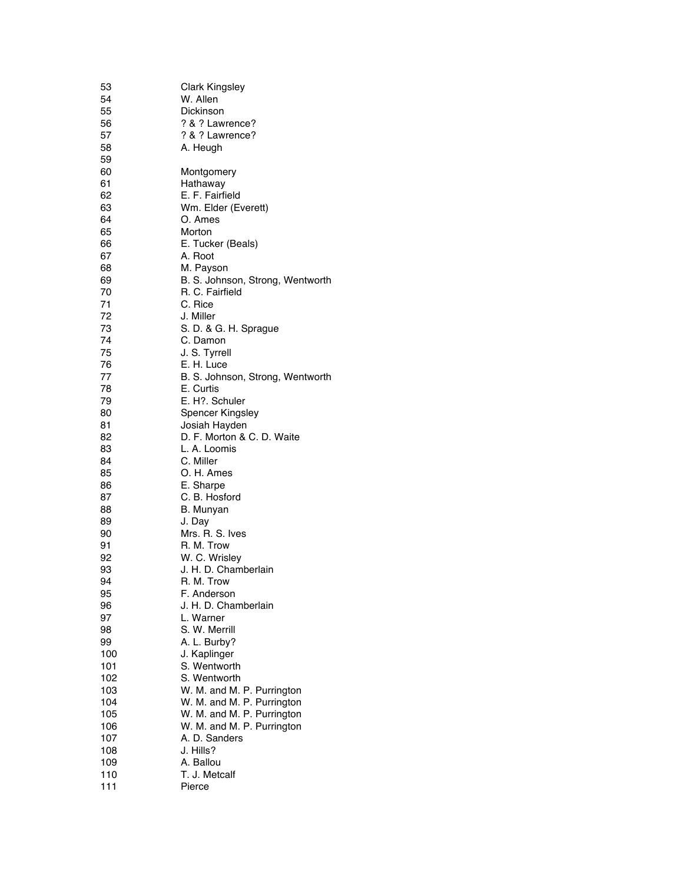| 53       | <b>Clark Kingsley</b>            |
|----------|----------------------------------|
| 54       | W. Allen                         |
| 55       | Dickinson                        |
| 56       | ? & ? Lawrence?                  |
| 57       | ? & ? Lawrence?                  |
| 58       | A. Heugh                         |
| 59       |                                  |
| 60       | Montgomery                       |
| 61       | Hathaway                         |
| 62       | E. F. Fairfield                  |
| 63<br>64 | Wm. Elder (Everett)              |
| 65       | O. Ames<br>Morton                |
| 66       | E. Tucker (Beals)                |
| 67       | A. Root                          |
| 68       | M. Payson                        |
| 69       | B. S. Johnson, Strong, Wentworth |
| 70       | R. C. Fairfield                  |
| 71       | C. Rice                          |
| 72       | J. Miller                        |
| 73       | S. D. & G. H. Sprague            |
| 74       | C. Damon                         |
| 75       | J. S. Tyrrell                    |
| 76       | E. H. Luce                       |
| 77       | B. S. Johnson, Strong, Wentworth |
| 78       | E. Curtis                        |
| 79       | E. H?. Schuler                   |
| 80       | Spencer Kingsley                 |
| 81       | Josiah Hayden                    |
| 82       | D. F. Morton & C. D. Waite       |
| 83       | L. A. Loomis                     |
| 84       | C. Miller                        |
| 85       | O. H. Ames                       |
| 86<br>87 | E. Sharpe                        |
| 88       | C. B. Hosford<br>B. Munyan       |
| 89       | J. Day                           |
| 90       | Mrs. R. S. Ives                  |
| 91       | R. M. Trow                       |
| 92       | W. C. Wrisley                    |
| 93       | J. H. D. Chamberlain             |
| 94       | R. M. Trow                       |
| 95       | F. Anderson                      |
| 96       | J. H. D. Chamberlain             |
| 97       | L. Warner                        |
| 98       | S. W. Merrill                    |
| 99       | A. L. Burby?                     |
| 100      | J. Kaplinger                     |
| 101      | S. Wentworth                     |
| 102      | S. Wentworth                     |
| 103      | W. M. and M. P. Purrington       |
| 104      | W. M. and M. P. Purrington       |
| 105      | W. M. and M. P. Purrington       |
| 106      | W. M. and M. P. Purrington       |
| 107      | A. D. Sanders                    |
| 108      | J. Hills?                        |
| 109      | A. Ballou                        |
| 110      | T. J. Metcalf                    |
| 111      | Pierce                           |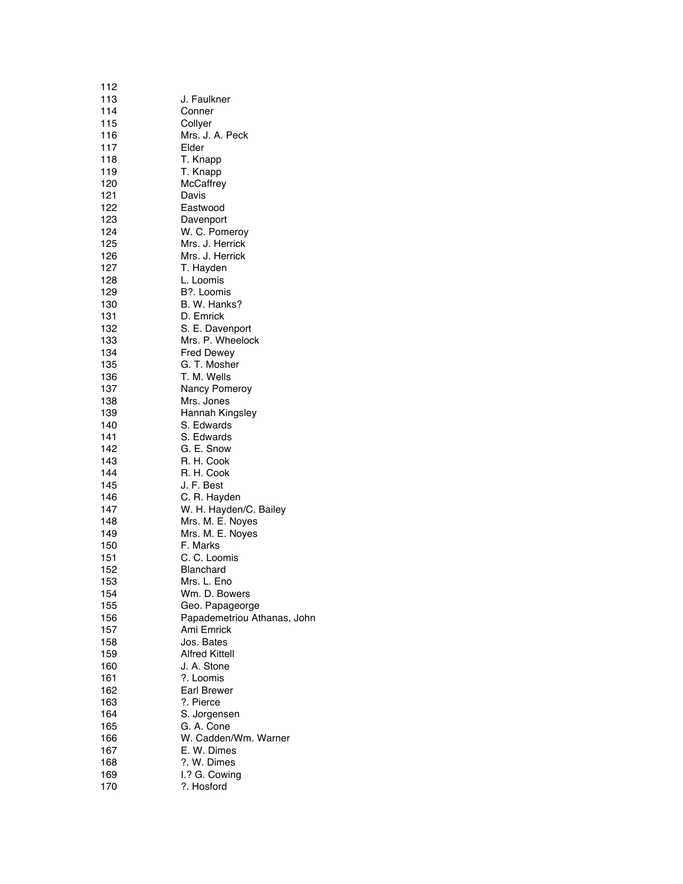| 112        |                             |
|------------|-----------------------------|
| 113        | J. Faulkner                 |
| 114        | Conner                      |
| 115        | Collyer                     |
| 116        | Mrs. J. A. Peck             |
| 117        | Elder                       |
| 118        | T. Knapp                    |
| 119        | T. Knapp                    |
| 120        | <b>McCaffrey</b>            |
| 121        | Davis                       |
| 122        | Eastwood                    |
| 123        | Davenport                   |
| 124        | W. C. Pomeroy               |
| 125        | Mrs. J. Herrick             |
| 126        | Mrs. J. Herrick             |
| 127        | T. Hayden                   |
| 128        | L. Loomis                   |
| 129        | B?. Loomis                  |
| 130        | B. W. Hanks?                |
| 131        | D. Emrick                   |
| 132        | S. E. Davenport             |
| 133        | Mrs. P. Wheelock            |
| 134        | <b>Fred Dewey</b>           |
| 135        | G. T. Mosher                |
| 136        | T. M. Wells                 |
| 137        | Nancy Pomeroy               |
| 138        | Mrs. Jones                  |
| 139        | Hannah Kingsley             |
| 140        | S. Edwards                  |
| 141        | S. Edwards                  |
| 142        | G. E. Snow                  |
| 143        | R. H. Cook                  |
| 144        | R. H. Cook<br>J. F. Best    |
| 145<br>146 | C. R. Hayden                |
| 147        | W. H. Hayden/C. Bailey      |
| 148        | Mrs. M. E. Noyes            |
| 149        | Mrs. M. E. Noyes            |
| 150        | F. Marks                    |
| 151        | C. C. Loomis                |
| 152        | <b>Blanchard</b>            |
| 153        | Mrs. L. Eno                 |
| 154        | Wm. D. Bowers               |
| 155        | Geo. Papageorge             |
| 156        | Papademetriou Athanas, John |
| 157        | Ami Emrick                  |
| 158        | Jos. Bates                  |
| 159        | <b>Alfred Kittell</b>       |
| 160        | J. A. Stone                 |
| 161        | ?. Loomis                   |
| 162        | Earl Brewer                 |
| 163        | ?. Pierce                   |
| 164        | S. Jorgensen                |
| 165        | G. A. Cone                  |
| 166        | W. Cadden/Wm. Warner        |
| 167        | E. W. Dimes                 |
| 168        | ?. W. Dimes                 |
| 169        | I.? G. Cowing               |
| 170        | ?. Hosford                  |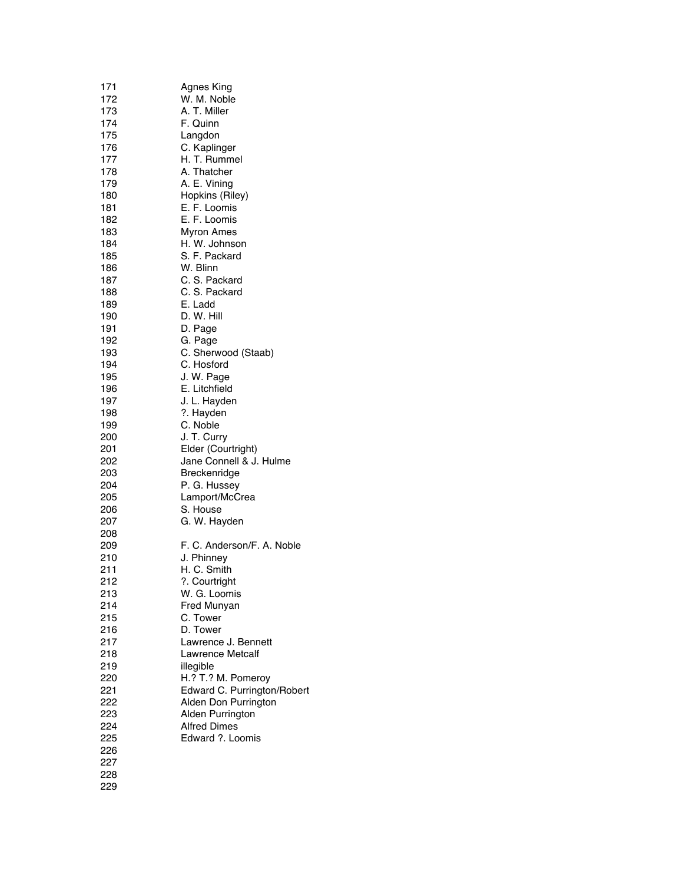| 171 | <b>Agnes King</b>           |
|-----|-----------------------------|
| 172 | W. M. Noble                 |
| 173 | A. T. Miller                |
| 174 | F. Quinn                    |
| 175 | Langdon                     |
| 176 | C. Kaplinger                |
| 177 | H. T. Rummel                |
| 178 | A. Thatcher                 |
| 179 | A. E. Vining                |
| 180 | Hopkins (Riley)             |
| 181 | E. F. Loomis                |
| 182 | E. F. Loomis                |
|     |                             |
| 183 | Myron Ames                  |
| 184 | H. W. Johnson               |
| 185 | S. F. Packard               |
| 186 | W. Blinn                    |
| 187 | C. S. Packard               |
| 188 | C. S. Packard               |
| 189 | E. Ladd                     |
| 190 | D. W. Hill                  |
| 191 | D. Page                     |
| 192 | G. Page                     |
| 193 | C. Sherwood (Staab)         |
| 194 | C. Hosford                  |
| 195 | J. W. Page                  |
| 196 | E. Litchfield               |
| 197 | J. L. Hayden                |
| 198 | ?. Hayden                   |
| 199 | C. Noble                    |
| 200 | J. T. Curry                 |
| 201 | Elder (Courtright)          |
| 202 | Jane Connell & J. Hulme     |
| 203 | Breckenridge                |
| 204 | P. G. Hussey                |
| 205 | Lamport/McCrea              |
| 206 | S. House                    |
|     |                             |
| 207 | G. W. Hayden                |
| 208 |                             |
| 209 | F. C. Anderson/F. A. Noble  |
| 210 | J. Phinney                  |
| 211 | H. C. Smith                 |
| 212 | ?. Courtright               |
| 213 | W. G. Loomis                |
| 214 | Fred Munyan                 |
| 215 | C. Tower                    |
| 216 | D. Tower                    |
| 217 | Lawrence J. Bennett         |
| 218 | Lawrence Metcalf            |
| 219 | illegible                   |
| 220 | H.? T.? M. Pomeroy          |
| 221 | Edward C. Purrington/Robert |
| 222 | Alden Don Purrington        |
| 223 | Alden Purrington            |
| 224 | <b>Alfred Dimes</b>         |
| 225 | Edward ?. Loomis            |
| 226 |                             |
| 227 |                             |
| 228 |                             |
| 229 |                             |
|     |                             |